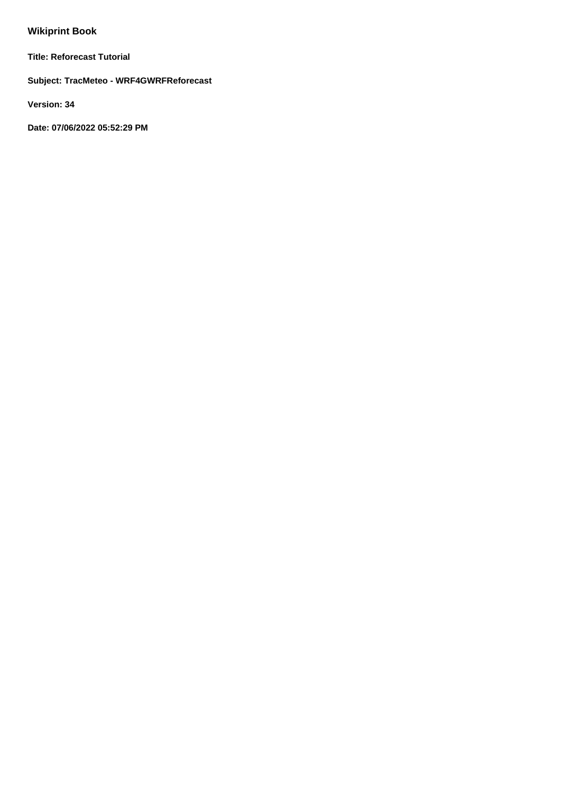# **Wikiprint Book**

**Title: Reforecast Tutorial**

**Subject: TracMeteo - WRF4GWRFReforecast**

**Version: 34**

**Date: 07/06/2022 05:52:29 PM**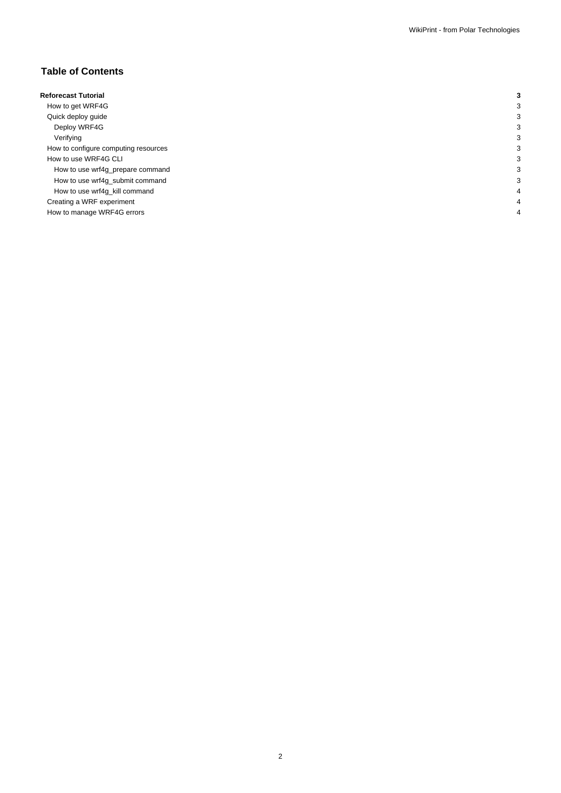# **Table of Contents**

| <b>Reforecast Tutorial</b>           |  |
|--------------------------------------|--|
| How to get WRF4G                     |  |
| Quick deploy guide                   |  |
| Deploy WRF4G                         |  |
| Verifying                            |  |
| How to configure computing resources |  |
| How to use WRF4G CLI                 |  |
| How to use wrf4g_prepare command     |  |
| How to use wrf4g_submit command      |  |
| How to use wrf4g_kill command        |  |
| Creating a WRF experiment            |  |
| How to manage WRF4G errors           |  |
|                                      |  |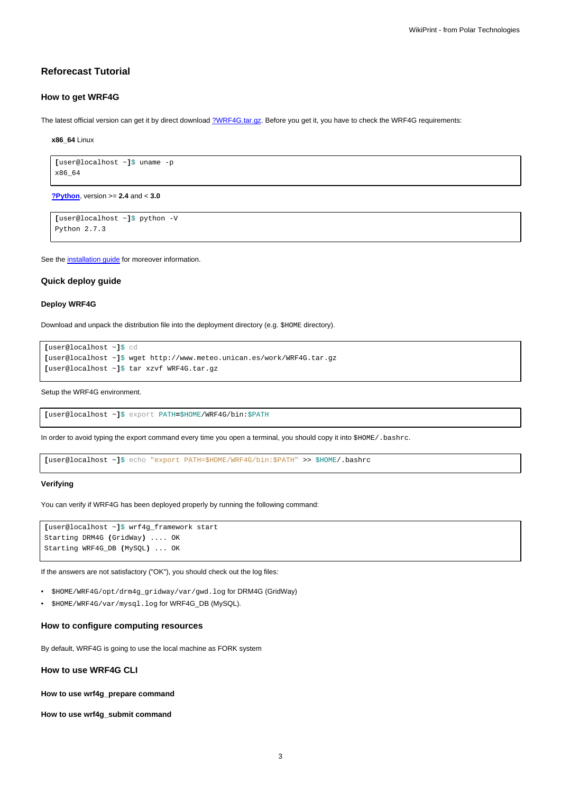## **Reforecast Tutorial**

### **How to get WRF4G**

The latest official version can get it by direct download [?WRF4G.tar.gz](http://www.meteo.macc.unican.es/work/WRF4G.tar.gz). Before you get it, you have to check the WRF4G requirements:

**x86\_64** Linux

```
[user@localhost ~]$ uname -p
x86_64
```
**[?Python](http://www.python.org/)**, version >= **2.4** and < **3.0**

```
[user@localhost ~]$ python -V
Python 2.7.3
```
See the [installation guide](https://meteo.unican.es/trac/wiki/WRF4GInstall) for moreover information.

#### **Quick deploy guide**

#### **Deploy WRF4G**

Download and unpack the distribution file into the deployment directory (e.g. \$HOME directory).

```
[user@localhost ~]$ cd
[user@localhost ~]$ wget http://www.meteo.unican.es/work/WRF4G.tar.gz
[user@localhost ~]$ tar xzvf WRF4G.tar.gz
```
Setup the WRF4G environment.

**[**user@localhost ~**]**\$ export PATH**=**\$HOME/WRF4G/bin:\$PATH

In order to avoid typing the export command every time you open a terminal, you should copy it into \$HOME/.bashrc.

**[**user@localhost ~**]**\$ echo "export PATH=\$HOME/WRF4G/bin:\$PATH" >> \$HOME/.bashrc

#### **Verifying**

You can verify if WRF4G has been deployed properly by running the following command:

```
[user@localhost ~]$ wrf4g_framework start
Starting DRM4G (GridWay) .... OK
Starting WRF4G_DB (MySQL) ... OK
```
If the answers are not satisfactory ("OK"), you should check out the log files:

- \$HOME/WRF4G/opt/drm4g\_gridway/var/gwd.log for DRM4G (GridWay)
- \$HOME/WRF4G/var/mysql.log for WRF4G\_DB (MySQL).

## **How to configure computing resources**

By default, WRF4G is going to use the local machine as FORK system

**How to use WRF4G CLI**

**How to use wrf4g\_prepare command**

**How to use wrf4g\_submit command**